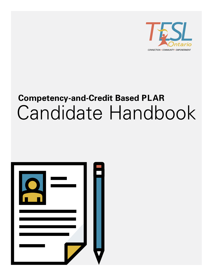

# **Competency-and-Credit Based PLAR** Candidate Handbook

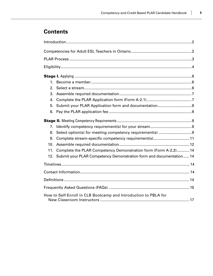# **Contents**

| 1.  |                                                                    |  |
|-----|--------------------------------------------------------------------|--|
| 2.  |                                                                    |  |
| 3.  |                                                                    |  |
| 4.  |                                                                    |  |
| 5.  |                                                                    |  |
| 6.  |                                                                    |  |
|     |                                                                    |  |
| 7.  |                                                                    |  |
| 8.  |                                                                    |  |
| 9.  | Complete stream-specific competency requirement(s)11               |  |
| 10. |                                                                    |  |
| 11. | Complete the PLAR Competency Demonstration form (Form A-2.2) 14    |  |
| 12. | Submit your PLAR Competency Demonstration form and documentation14 |  |
|     |                                                                    |  |
|     |                                                                    |  |
|     |                                                                    |  |
|     |                                                                    |  |
|     | How to Self-Enroll in CLB Bootcamp and Introduction to PBLA for    |  |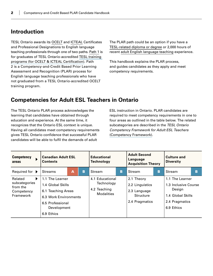### **Introduction**

TESL Ontario awards its [OCELT](#page-16-0) and [ICTEAL](#page-16-0) Certificates and Professional Designations to English language teaching professionals through one of two paths. [Path 1](https://www.teslontario.org/accreditation/languageinstructor) is for graduates of TESL Ontario-accredited [TESL training](https://www.teslontario.org/accreditation/tesl-training-programs)  [programs \(for OCELT & ICTEAL Certification\)](https://www.teslontario.org/accreditation/tesl-training-programs). Path 2 is a Competency-and-Credit Based Prior Learning Assessment and Recognition (PLAR) process for English language teaching professionals who have not graduated from a TESL Ontario-accredited OCELT training program.

The PLAR path could be an option if you have a [TESL-related diploma or degree](#page-16-0) or 2,000 hours of recent [adult English language teaching](#page-15-0) experience.

This handbook explains the PLAR process, and guides candidates as they apply and meet competency requirements.

### **Competencies for Adult ESL Teachers in Ontario**

The TESL Ontario PLAR process acknowledges the learning that candidates have obtained through education and experience. At the same time, it recognizes that the Ontario ESL context is unique. Having all candidates meet competency requirements gives TESL Ontario confidence that successful PLAR candidates will be able to fulfil the demands of adult

ESL instruction in Ontario. PLAR candidates are required to meet competency requirements in one to four areas as outlined in the table below. The related subcategories are described in the *TESL Ontario Competency Framework for Adult ESL Teachers* [\(Competency Framework\)](https://www.teslontario.org/competency-framework).

| <b>Competency</b><br>areas                                           | <b>Canadian Adult ESL</b><br><b>Contexts</b>                                                                                         |   | <b>Educational</b><br><b>Technology</b> |                                                                    | <b>Adult Second</b><br>Language<br><b>Acquisition Theory</b> |                                                                                     | <b>Culture and</b><br><b>Diversity</b> |                                                                                                        |   |
|----------------------------------------------------------------------|--------------------------------------------------------------------------------------------------------------------------------------|---|-----------------------------------------|--------------------------------------------------------------------|--------------------------------------------------------------|-------------------------------------------------------------------------------------|----------------------------------------|--------------------------------------------------------------------------------------------------------|---|
| Required for $\rightarrow$                                           | <b>Streams</b>                                                                                                                       | Α | в                                       | Stream                                                             | в                                                            | Stream                                                                              | B                                      | Stream                                                                                                 | B |
| Related<br>▶<br>subcategories<br>from the<br>Competency<br>Framework | 1.1 The Learner<br>1.4 Global Skills<br>6.1 Teaching Areas<br>6.3 Work Environments<br>6.5 Professional<br>Development<br>6.9 Ethics |   |                                         | 4.1 Educational<br>Technology<br>4.2 Teaching<br><b>Modalities</b> |                                                              | 2.1 Theory<br>2.2 Linguistics<br>2.3 Language<br><b>Structure</b><br>2.4 Pragmatics |                                        | 1.1 The Learner<br>1.3 Inclusive Course<br>Design<br>1.4 Global Skills<br>2.4 Pragmatics<br>6.9 Ethics |   |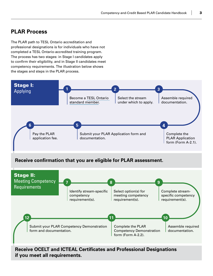### **PLAR Process**

The PLAR path to TESL Ontario accreditation and professional designations is for individuals who have not completed a TESL Ontario-accredited training program. The process has two stages: in Stage I candidates apply to confirm their eligibility, and in Stage II candidates meet competency requirements. The illustration below shows the stages and steps in the PLAR process.



### **Receive confirmation that you are eligible for PLAR assessment.**



**Receive OCELT and ICTEAL Certificates and Professional Designations if you meet all requirements.**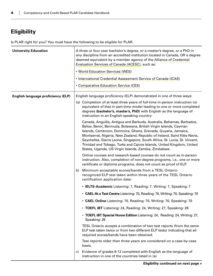# <span id="page-5-0"></span>**Eligibility**

Is PLAR right for you? You must have the following to be eligible for PLAR.

| <b>University Education</b>               |    | A three or four year bachelor's degree, or a master's degree, or a PhD in<br>any discipline from an accredited institution located in Canada, OR a degree<br>deemed equivalent by a member agency of the Alliance of Credential<br>Evaluation Services of Canada (ACESC), such as:<br>• World Education Services (WES)<br>• International Credential Assessment Service of Canada (ICAS)<br>• Comparative Education Service (CES)                                                                                                                                                                                                                                                                                                                                                                                                                                                                                                                                                                                                                                                                                                                                                                                                                                                                                         |
|-------------------------------------------|----|---------------------------------------------------------------------------------------------------------------------------------------------------------------------------------------------------------------------------------------------------------------------------------------------------------------------------------------------------------------------------------------------------------------------------------------------------------------------------------------------------------------------------------------------------------------------------------------------------------------------------------------------------------------------------------------------------------------------------------------------------------------------------------------------------------------------------------------------------------------------------------------------------------------------------------------------------------------------------------------------------------------------------------------------------------------------------------------------------------------------------------------------------------------------------------------------------------------------------------------------------------------------------------------------------------------------------|
| <b>English language proficiency (ELP)</b> | b) | English language proficiency (ELP) demonstrated in one of three ways:<br>(a) Completion of at least three years of full-time in-person instruction (or<br>equivalent of that in part-time mode) leading to one or more completed<br>degrees (bachelor's, master's, PhD) with English as the language of<br>instruction in an English-speaking country:<br>Canada, Anguilla, Antigua and Barbuda, Australia, Bahamas, Barbados,<br>Belize, Benin, Bermuda, Botswana, British Virgin Islands, Cayman<br>Islands, Cameroon, Dominica, Ghana, Grenada, Guyana, Jamaica,<br>Montserrat, Nigeria, New Zealand, Republic of Ireland, Saint Kitts-Nevis,<br>Seychelles, Sierra Leone, Singapore, South Africa, St. Lucia, St. Vincent,<br>Trinidad and Tobago, Turks and Caicos Islands, United Kingdom, United<br>States, Uganda, US Virgin Islands, Zambia, Zimbabwe.<br>Online courses and research-based courses do not count as in-person<br>instruction. Also, completion of non-degree programs, i.e., one or more<br>certificate or diploma programs, does not count as proof of ELP.<br>Minimum acceptable scores/bands from a TESL Ontario<br>recognized ELP test taken within three years of the TESL Ontario<br>certification application date:<br>• IELTS-Academic Listening: 7, Reading: 7, Writing: 7, Speaking: 7 |
|                                           | C) | • CAEL-At a Test Centre Listening: 70, Reading: 70, Writing: 70, Speaking: 70<br>• CAEL Online Listening: 70, Reading: 70, Writing: 70, Speaking: 70<br>• TOEFL IBT Listening: 24, Reading: 24, Writing: 27, Speaking: 26<br>• TOEFL IBT Special Home Edition Listening: 24, Reading: 24, Writing: 27,<br>Speaking: 26<br>TESL Ontario accepts a combination of two test reports (from the same<br>ELP test taken twice or from two different ELP tests) indicating that all<br>required scores/bands have been obtained.<br>Test reports older than three years are considered on a case-by-case<br>basis.<br>Evidence of grades 6-12 completed with English as the language of<br>instruction in one of the countries listed in (a)                                                                                                                                                                                                                                                                                                                                                                                                                                                                                                                                                                                     |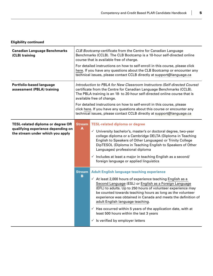### <span id="page-6-0"></span>**Eligibility continued**

| <b>Canadian Language Benchmarks</b><br>(CLB) training                                                              | CLB Bootcamp certificate from the Centre for Canadian Language<br>Benchmarks (CCLB). The CLB Bootcamp is a 10-hour self-directed online<br>course that is available free of charge.<br>For detailed instructions on how to self-enroll in this course, please click<br>here. If you have any questions about the CLB Bootcamp or encounter any<br>technical issues, please contact CCLB directly at support@language.ca                                                                     |                                                                                                                                                                                                                                                                                                                                                                                                                                                                                                                                                                                                 |  |
|--------------------------------------------------------------------------------------------------------------------|---------------------------------------------------------------------------------------------------------------------------------------------------------------------------------------------------------------------------------------------------------------------------------------------------------------------------------------------------------------------------------------------------------------------------------------------------------------------------------------------|-------------------------------------------------------------------------------------------------------------------------------------------------------------------------------------------------------------------------------------------------------------------------------------------------------------------------------------------------------------------------------------------------------------------------------------------------------------------------------------------------------------------------------------------------------------------------------------------------|--|
| Portfolio-based language<br>assessment (PBLA) training                                                             | Introduction to PBLA for New Classroom Instructors (Self-directed Course)<br>certificate from the Centre for Canadian Language Benchmarks (CCLB).<br>The PBLA training is an 18- to 20-hour self-directed online course that is<br>available free of change.<br>For detailed instructions on how to self-enroll in this course, please<br>click here. If you have any questions about this course or encounter any<br>technical issues, please contact CCLB directly at support@language.ca |                                                                                                                                                                                                                                                                                                                                                                                                                                                                                                                                                                                                 |  |
| <b>TESL-related diploma or degree OR</b><br>qualifying experience depending on<br>the stream under which you apply | <b>Stream</b><br>A                                                                                                                                                                                                                                                                                                                                                                                                                                                                          | <b>TESL-related diploma or degree</b><br>$\checkmark$ University bachelor's, master's or doctoral degree, two-year<br>college diploma or a Cambridge DELTA (Diploma in Teaching<br>English to Speakers of Other Languages) or Trinity College<br>DipTESOL (Diploma in Teaching English to Speakers of Other<br>Languages) professional diploma<br>$\checkmark$ Includes at least a major in teaching English as a second/<br>foreign language or applied linguistics                                                                                                                            |  |
|                                                                                                                    | <b>Stream</b><br>$\mathbf{B}$                                                                                                                                                                                                                                                                                                                                                                                                                                                               | <b>Adult English language teaching experience</b><br>$\checkmark$ At least 2,000 hours of experience teaching English as a<br>Second Language (ESL) or English as a Foreign Language<br>(EFL) to adults. Up to 250 hours of volunteer experience may<br>be counted towards teaching hours as long as the volunteer<br>experience was obtained in Canada and meets the definition of<br>adult English language teaching.<br>$\checkmark$ Has occurred within 5 years of the application date, with at<br>least 500 hours within the last 3 years<br>$\checkmark$ is verified by employer letters |  |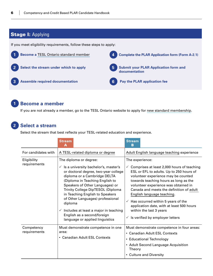# **Stage I: Applying**

If you meet eligibility requirements, follow these steps to apply:



### **1 Become a member**

If you are not already a member, go to the TESL Ontario website to apply for [new standard membership.](https://www.teslontario.org/members/signup)

### **2 Select a stream**

Select the stream that best reflects your TESL-related education and experience.

|                             | <b>Stream</b><br>А                                                                                                                                                                                                                                                                                                                                                                                                                                                       | <b>Stream</b><br>в                                                                                                                                                                                                                                                                                                                                                                                                                                                                        |
|-----------------------------|--------------------------------------------------------------------------------------------------------------------------------------------------------------------------------------------------------------------------------------------------------------------------------------------------------------------------------------------------------------------------------------------------------------------------------------------------------------------------|-------------------------------------------------------------------------------------------------------------------------------------------------------------------------------------------------------------------------------------------------------------------------------------------------------------------------------------------------------------------------------------------------------------------------------------------------------------------------------------------|
| For candidates with         | A TESL-related diploma or degree                                                                                                                                                                                                                                                                                                                                                                                                                                         | Adult English language teaching experience                                                                                                                                                                                                                                                                                                                                                                                                                                                |
| Eligibility<br>requirements | The diploma or degree:<br>$\checkmark$ is a university bachelor's, master's<br>or doctoral degree, two-year college<br>diploma or a Cambridge DELTA<br>(Diploma in Teaching English to<br>Speakers of Other Languages) or<br>Trinity College DipTESOL (Diploma<br>in Teaching English to Speakers<br>of Other Languages) professional<br>diploma<br>$\checkmark$ Includes at least a major in teaching<br>English as a second/foreign<br>language or applied linguistics | The experience:<br>Comprises at least 2,000 hours of teaching<br>ESL or EFL to adults. Up to 250 hours of<br>volunteer experience may be counted<br>towards teaching hours as long as the<br>volunteer experience was obtained in<br>Canada and meets the definition of adult<br>English language teaching.<br>Has occurred within 5 years of the<br>$\checkmark$<br>application date, with at least 500 hours<br>within the last 3 years<br>$\checkmark$ is verified by employer letters |
| Competency<br>requirements  | Must demonstrate competence in one<br>area:<br>• Canadian Adult ESL Contexts                                                                                                                                                                                                                                                                                                                                                                                             | Must demonstrate competence in four areas:<br>• Canadian Adult ESL Contexts<br>• Educational Technology<br>• Adult Second Language Acquisition<br>Theory<br>• Culture and Diversity                                                                                                                                                                                                                                                                                                       |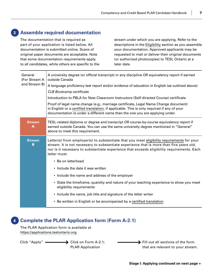### **3 Assemble required documentation**

The documentation that is required as part of your application is listed below. All documentation is submitted online. Scans of original paper documents are acceptable. Note that some documentation requirements apply to all candidates, while others are specific to the stream under which you are applying. Refer to the descriptions in the [Eligibility](#page-5-0) section as you assemble your documentation. Approved applicants may be requested to mail or deliver their original documents (or authorized photocopies) to TESL Ontario at a later date.

| General<br>(For Stream A<br>and Stream B) | A university degree (or official transcript) in any discipline OR equivalency report if earned<br>outside Canada<br>A language proficiency test report and/or evidence of education in English (as outlined above)<br><b>CLB Bootcamp certificate</b><br>Introduction to PBLA for New Classroom Instructors (Self-directed Course) certificate<br>Proof of legal name change (e.g., marriage certificate, Legal Name Change document)<br>in English or a certified translation, if applicable. This is only required if any of your<br>documentation is under a different name than the one you are applying under. |  |  |  |  |  |  |
|-------------------------------------------|---------------------------------------------------------------------------------------------------------------------------------------------------------------------------------------------------------------------------------------------------------------------------------------------------------------------------------------------------------------------------------------------------------------------------------------------------------------------------------------------------------------------------------------------------------------------------------------------------------------------|--|--|--|--|--|--|
| <b>Stream</b><br>A                        | TESL-related diploma or degree and transcript OR course-by-course equivalency report if<br>earned outside Canada. You can use the same university degree mentioned in "General"<br>above to meet this requirement.                                                                                                                                                                                                                                                                                                                                                                                                  |  |  |  |  |  |  |
| <b>Stream</b><br>B                        | Letter(s) from employer(s) to substantiate that you meet eligibility requirements for your<br>stream. It is not necessary to substantiate experience that is more than five years old,<br>nor is it necessary to substantiate experience that exceeds eligibility requirements. Each<br>letter must:                                                                                                                                                                                                                                                                                                                |  |  |  |  |  |  |
|                                           | • Be on letterhead                                                                                                                                                                                                                                                                                                                                                                                                                                                                                                                                                                                                  |  |  |  |  |  |  |
|                                           | • Include the date it was written                                                                                                                                                                                                                                                                                                                                                                                                                                                                                                                                                                                   |  |  |  |  |  |  |
|                                           | • Include the name and address of the employer                                                                                                                                                                                                                                                                                                                                                                                                                                                                                                                                                                      |  |  |  |  |  |  |
|                                           | • State the timeframe, quantity and nature of your teaching experience to show you meet<br>eligibility requirements                                                                                                                                                                                                                                                                                                                                                                                                                                                                                                 |  |  |  |  |  |  |
|                                           | • Include the name, job title and signature of the letter writer                                                                                                                                                                                                                                                                                                                                                                                                                                                                                                                                                    |  |  |  |  |  |  |
|                                           | • Be written in English or be accompanied by a certified translation                                                                                                                                                                                                                                                                                                                                                                                                                                                                                                                                                |  |  |  |  |  |  |

### **4 Complete the PLAR Application form (Form A-2.1)**

The PLAR Application form is available at <https://applications.teslontario.org>

 $Click$  "Apply"  $\longrightarrow$  Click on Form A-2.1: PLAR Application

 $\blacktriangleright$  Fill out all sections of the form that are relevant to your stream.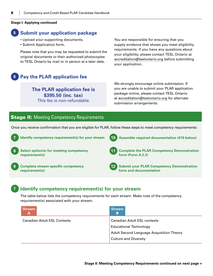#### <span id="page-9-0"></span>**Stage I: Applying continued**

### **5 Submit your application package**

- Upload your supporting documents.
- Submit Application form.

Please note that you may be requested to submit the original documents or their authorized photocopies to TESL Ontario by mail or in person at a later date.

### **6 Pay the PLAR application fee**

**The PLAR application fee is \$395.50 (inc. tax)**  *This fee is non-refundable.*

You are responsible for ensuring that you supply evidence that shows you meet eligibility requirements. If you have any questions about your eligibility, please contact TESL Ontario at [accreditation@teslontario.org](mailto:mailto:accreditation%40teslontario.org?subject=) before submitting your application.

We strongly encourage online submission. If you are unable to submit your PLAR application package online, please contact TESL Ontario at [accreditation@teslontario.org](mailto:mailto:accreditation%40teslontario.org?subject=) for alternate submission arrangements.

### **Stage II:** Meeting Competency Requirements

Once you receive confirmation that you are eligible for PLAR, follow these steps to meet competency requirements:



### **7 Identify competency requirement(s) for your stream**

The table below lists the competency requirements for each stream. Make note of the competency requirement(s) associated with your stream.

| <b>Stream</b><br>A                 | Stream<br>B                                     |
|------------------------------------|-------------------------------------------------|
| <b>Canadian Adult ESL Contexts</b> | <b>Canadian Adult ESL contexts</b>              |
|                                    | <b>Educational Technology</b>                   |
|                                    | <b>Adult Second Language Acquisition Theory</b> |
|                                    | <b>Culture and Diversity</b>                    |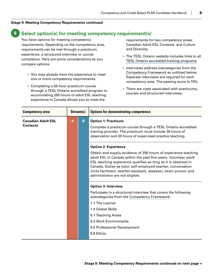### <span id="page-10-0"></span>**8 Select option(s) for meeting competency requirement(s)**

You have options for meeting competency requirements. Depending on the competency area, requirements can be met through a practicum, experience, a structured interview or course completion. Here are some considerations as you compare options:

- You may already have the experience to meet one or more competency requirements.
- • Completing a 50-hour practicum course through a TESL Ontario accredited program or accumulating 250 hours of adult ESL teaching experience in Canada allows you to meet the

requirements for two competency areas: Canadian Adult ESL Contexts, and Culture and Diversity.

- The TESL Ontario website includes links to all [TESL Ontario accredited training programs](https://www.teslontario.org/accreditation/tesl-training-programs)
- Interviews address subcategories from the [Competency Framework](https://www.teslontario.org/uploads/accreditation/CompetencyFramework/TESLOntarioCompetencyFramework.pdf) as outlined below. Separate interviews are required for each competency area. The passing score is 70%.
- There are costs associated with practicums, courses and structured interviews.

| <b>Competency area</b>                       | Stream(s) |   | <b>Options for demonstrating competence</b>                                                                                                                                                                                                                                                                                                                                                                |
|----------------------------------------------|-----------|---|------------------------------------------------------------------------------------------------------------------------------------------------------------------------------------------------------------------------------------------------------------------------------------------------------------------------------------------------------------------------------------------------------------|
| <b>Canadian Adult ESL</b><br><b>Contexts</b> | A         | B | <b>Option 1: Practicum</b><br>Complete a practicum course through a TESL Ontario-accredited<br>training provider. The practicum must include 30 hours of<br>observation and 20 hours of supervised practice teaching.                                                                                                                                                                                      |
|                                              |           |   | <b>Option 2: Experience</b><br>Obtain and supply evidence of 250 hours of experience teaching<br>adult ESL in Canada within the past five years. Volunteer adult<br>ESL teaching experience qualifies as long as it is obtained in<br>Canada. Duties as tutor, self-employed teacher, conversation<br>circle facilitator, teacher-assistant, assessor, exam proctor and<br>administrator are not eligible. |
|                                              |           |   | <b>Option 3: Interview</b>                                                                                                                                                                                                                                                                                                                                                                                 |
|                                              |           |   | Participate in a structured interview that covers the following<br>subcategories from the Competency Framework:<br>1.1 The Learner                                                                                                                                                                                                                                                                         |
|                                              |           |   | 1.4 Global Skills                                                                                                                                                                                                                                                                                                                                                                                          |
|                                              |           |   | 6.1 Teaching Areas                                                                                                                                                                                                                                                                                                                                                                                         |
|                                              |           |   | 6.3 Work Environments                                                                                                                                                                                                                                                                                                                                                                                      |
|                                              |           |   | 6.5 Professional Development                                                                                                                                                                                                                                                                                                                                                                               |
|                                              |           |   | 6.9 Ethics                                                                                                                                                                                                                                                                                                                                                                                                 |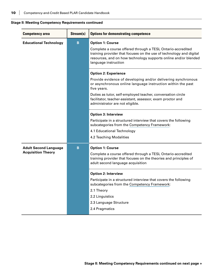| <b>Competency area</b>        | Stream(s) | <b>Options for demonstrating competence</b>                                                                                                                                                                                   |
|-------------------------------|-----------|-------------------------------------------------------------------------------------------------------------------------------------------------------------------------------------------------------------------------------|
| <b>Educational Technology</b> | B         | <b>Option 1: Course</b>                                                                                                                                                                                                       |
|                               |           | Complete a course offered through a TESL Ontario-accredited<br>training provider that focuses on the use of technology and digital<br>resources, and on how technology supports online and/or blended<br>language instruction |
|                               |           | <b>Option 2: Experience</b>                                                                                                                                                                                                   |
|                               |           | Provide evidence of developing and/or delivering synchronous<br>or asynchronous online language instruction within the past<br>five years.                                                                                    |
|                               |           | Duties as tutor, self-employed teacher, conversation circle<br>facilitator, teacher-assistant, assessor, exam proctor and<br>administrator are not eligible.                                                                  |
|                               |           | <b>Option 3: Interview</b>                                                                                                                                                                                                    |
|                               |           | Participate in a structured interview that covers the following<br>subcategories from the Competency Framework:                                                                                                               |
|                               |           | 4.1 Educational Technology                                                                                                                                                                                                    |
|                               |           | 4.2 Teaching Modalities                                                                                                                                                                                                       |
| <b>Adult Second Language</b>  | B         | <b>Option 1: Course</b>                                                                                                                                                                                                       |
| <b>Acquisition Theory</b>     |           | Complete a course offered through a TESL Ontario-accredited<br>training provider that focuses on the theories and principles of<br>adult second language acquisition                                                          |
|                               |           | <b>Option 2: Interview</b>                                                                                                                                                                                                    |
|                               |           | Participate in a structured interview that covers the following<br>subcategories from the Competency Framework:                                                                                                               |
|                               |           | 2.1 Theory                                                                                                                                                                                                                    |
|                               |           | 2.2 Linguistics                                                                                                                                                                                                               |
|                               |           | 2.3 Language Structure                                                                                                                                                                                                        |
|                               |           | 2.4 Pragmatics                                                                                                                                                                                                                |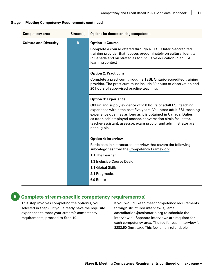| <b>Competency area</b>       | Stream(s)   | <b>Options for demonstrating competence</b>                                                                                                                                                                                                                                                                                                                       |
|------------------------------|-------------|-------------------------------------------------------------------------------------------------------------------------------------------------------------------------------------------------------------------------------------------------------------------------------------------------------------------------------------------------------------------|
| <b>Culture and Diversity</b> | $\mathbf B$ | <b>Option 1: Course</b>                                                                                                                                                                                                                                                                                                                                           |
|                              |             | Complete a course offered through a TESL Ontario-accredited<br>training provider that focuses predominately on cultural identity<br>in Canada and on strategies for inclusive education in an ESL<br>learning context                                                                                                                                             |
|                              |             | <b>Option 2: Practicum</b>                                                                                                                                                                                                                                                                                                                                        |
|                              |             | Complete a practicum through a TESL Ontario-accredited training<br>provider. The practicum must include 30 hours of observation and<br>20 hours of supervised practice teaching.                                                                                                                                                                                  |
|                              |             | <b>Option 3: Experience</b>                                                                                                                                                                                                                                                                                                                                       |
|                              |             | Obtain and supply evidence of 250 hours of adult ESL teaching<br>experience within the past five years. Volunteer adult ESL teaching<br>experience qualifies as long as it is obtained in Canada. Duties<br>as tutor, self-employed teacher, conversation circle facilitator,<br>teacher-assistant, assessor, exam proctor and administrator are<br>not eligible. |
|                              |             | <b>Option 4: Interview</b>                                                                                                                                                                                                                                                                                                                                        |
|                              |             | Participate in a structured interview that covers the following<br>subcategories from the Competency Framework:                                                                                                                                                                                                                                                   |
|                              |             | 1.1 The Learner                                                                                                                                                                                                                                                                                                                                                   |
|                              |             | 1.3 Inclusive Course Design                                                                                                                                                                                                                                                                                                                                       |
|                              |             | 1.4 Global Skills                                                                                                                                                                                                                                                                                                                                                 |
|                              |             | 2.4 Pragmatics                                                                                                                                                                                                                                                                                                                                                    |
|                              |             | 6.9 Ethics                                                                                                                                                                                                                                                                                                                                                        |

### **9 Complete stream-specific competency requirement(s)**

This step involves completing the option(s) you selected in Step 8. If you already have the requisite experience to meet your stream's competency requirements, proceed to Step 10.

If you would like to meet competency requirements through structured interview(s), email [accreditation@teslontario.org](mailto:mailto:accreditation%40teslontario.org?subject=) to schedule the interview(s). Separate interviews are required for each competency area. The fee for each interview is \$282.50 (incl. tax). This fee is non-refundable.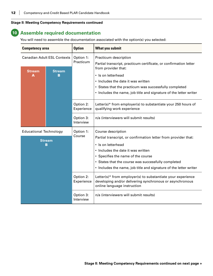### **10 Assemble required documentation**

You will need to assemble the documentation associated with the option(s) you selected:

| <b>Competency area</b>             |                    | <b>Option</b>           | <b>What you submit</b>                                                                                                                                 |
|------------------------------------|--------------------|-------------------------|--------------------------------------------------------------------------------------------------------------------------------------------------------|
| <b>Canadian Adult ESL Contexts</b> |                    | Option 1:<br>Practicum  | Practicum description                                                                                                                                  |
| <b>Stream</b>                      | <b>Stream</b>      |                         | Partial transcript, practicum certificate, or confirmation letter<br>from provider that:                                                               |
| А                                  | в                  |                         | • Is on letterhead                                                                                                                                     |
|                                    |                    |                         | • Includes the date it was written                                                                                                                     |
|                                    |                    |                         | • States that the practicum was successfully completed                                                                                                 |
|                                    |                    |                         | • Includes the name, job title and signature of the letter writer                                                                                      |
|                                    |                    | Option 2:<br>Experience | Letter(s)* from employer(s) to substantiate your 250 hours of<br>qualifying work experience                                                            |
|                                    |                    | Option 3:<br>Interview  | n/a (interviewers will submit results)                                                                                                                 |
| <b>Educational Technology</b>      |                    | Option 1:               | Course description                                                                                                                                     |
|                                    |                    | Course                  | Partial transcript, or confirmation letter from provider that:                                                                                         |
|                                    | <b>Stream</b><br>в |                         | • Is on letterhead                                                                                                                                     |
|                                    |                    |                         | • Includes the date it was written                                                                                                                     |
|                                    |                    |                         | • Specifies the name of the course                                                                                                                     |
|                                    |                    |                         | • States that the course was successfully completed                                                                                                    |
|                                    |                    |                         | • Includes the name, job title and signature of the letter writer                                                                                      |
|                                    |                    | Option 2:<br>Experience | Letter(s)* from employer(s) to substantiate your experience<br>developing and/or delivering synchronous or asynchronous<br>online language instruction |
|                                    |                    | Option 3:<br>Interview  | n/a (interviewers will submit results)                                                                                                                 |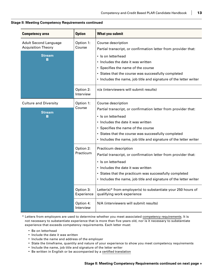| <b>Competency area</b>                                                           | <b>Option</b>           | <b>What you submit</b>                                                                                                                                                                                                                                                                                             |
|----------------------------------------------------------------------------------|-------------------------|--------------------------------------------------------------------------------------------------------------------------------------------------------------------------------------------------------------------------------------------------------------------------------------------------------------------|
| <b>Adult Second Language</b><br>Option 1:<br><b>Acquisition Theory</b><br>Course |                         | Course description<br>Partial transcript, or confirmation letter from provider that:                                                                                                                                                                                                                               |
| <b>Stream</b><br>в                                                               |                         | · Is on letterhead<br>• Includes the date it was written<br>• Specifies the name of the course<br>• States that the course was successfully completed<br>• Includes the name, job title and signature of the letter writer                                                                                         |
|                                                                                  | Option 2:<br>Interview  | n/a (interviewers will submit results)                                                                                                                                                                                                                                                                             |
| <b>Culture and Diversity</b><br><b>Stream</b><br>в                               | Option 1:<br>Course     | Course description<br>Partial transcript, or confirmation letter from provider that:<br>· Is on letterhead<br>• Includes the date it was written<br>• Specifies the name of the course<br>• States that the course was successfully completed<br>• Includes the name, job title and signature of the letter writer |
|                                                                                  | Option 2:<br>Practicum  | Practicum description<br>Partial transcript, or confirmation letter from provider that:<br>· Is on letterhead<br>• Includes the date it was written<br>• States that the practicum was successfully completed<br>• Includes the name, job title and signature of the letter writer                                 |
|                                                                                  | Option 3:<br>Experience | Letter(s)* from employer(s) to substantiate your 250 hours of<br>qualifying work experience                                                                                                                                                                                                                        |
|                                                                                  | Option 4:<br>Interview  | N/A (interviewers will submit results)                                                                                                                                                                                                                                                                             |

\* Letters from employers are used to determine whether you meet associated [competency requirements.](#page-10-0) It is not necessary to substantiate experience that is more than five years old, nor is it necessary to substantiate experience that exceeds competency requirements. Each letter must:

- • Be on letterhead
- Include the date it was written
- • Include the name and address of the employer
- State the timeframe, quantity and nature of your experience to show you meet competency requirements
- • Include the name, job title and signature of the letter writer
- Be written in English or be accompanied by a [certified translation](#page-15-0)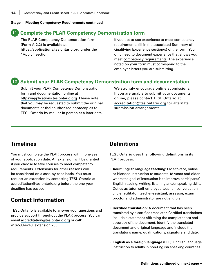### <span id="page-15-0"></span>**11 Complete the PLAR Competency Demonstration form**

The PLAR Competency Demonstration form (Form A-2.2) is available at [https://applications.teslontario.org](https://applications.teslontario.org/) under the "Apply" section.

If you opt to use experience to meet competency requirements, fill in the associated Summary of Qualifying Experience section(s) of the form. You only need to document experience that shows you meet [competency requirements](#page-10-0). The experience noted on your form must correspond to the employer letters you are submitting.

### **12 Submit your PLAR Competency Demonstration form and documentation**

Submit your PLAR Competency Demonstration form and documentation online at [https://applications.teslontario.org](https://applications.teslontario.org/). Please note that you may be requested to submit the original documents or their authorized photocopies to TESL Ontario by mail or in person at a later date. We strongly encourage online submissions. If you are unable to submit your documents online, please contact TESL Ontario at [accreditation@teslontario.org](mailto:mailto:accreditation%40teslontario.org?subject=) for alternate submission arrangements.

### **Timelines**

You must complete the PLAR process within one year of your application date. An extension will be granted if you choose to take courses to meet competency requirements. Extensions for other reasons will be considered on a case-by-case basis. You must request an extension by contacting TESL Ontario at [accreditation@teslontario.org](mailto:mailto:accreditation%40teslontario.org?subject=) before the one-year deadline has passed.

### **Contact Information**

TESL Ontario is available to answer your questions and provide support throughout the PLAR process. You can email [accreditation@teslontario.org](mailto:mailto:accreditation%40teslontario.org?subject=) or call: 416-593-4243, extension 205.

### **Definitions**

TESL Ontario uses the following definitions in its PLAR process:

- • **Adult English language teaching:** Face-to-face, online or blended instruction to students 18 years and older where the goal of instruction is to improve participants' English reading, writing, listening and/or speaking skills. Duties as tutor, self-employed teacher, conversation circle facilitator, teacher-assistant, assessor, exam proctor and administrator are not eligible.
- • **Certified translation:** A document that has been translated by a certified translator. Certified translations include a statement affirming the completeness and accuracy of the document, identify the translated document and original language and include the translator's name, qualifications, signature and date.
- • **English as a foreign language (EFL):** English language instruction to adults in non-English speaking countries.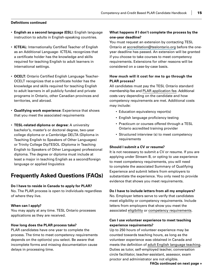#### <span id="page-16-0"></span>**Definitions continued**

- • **English as a second language (ESL):** English language instruction to adults in English-speaking countries.
- **ICTEAL:** Internationally Certified Teacher of English as an Additional Language- ICTEAL recognizes that a certificate holder has the knowledge and skills required for teaching English to adult learners in international settings.
- **OCELT:** Ontario Certified English Language Teacher-OCELT recognizes that a certificate holder has the knowledge and skills required for teaching English to adult learners in all publicly funded and private programs in Ontario, other Canadian provinces and territories, and abroad.
- • **Qualifying work experience:** Experience that shows that you meet the associated requirements
- • **TESL-related diploma or degree:** A university bachelor's, master's or doctoral degree, two-year college diploma or a Cambridge DELTA (Diploma in Teaching English to Speakers of Other Languages) or Trinity College DipTESOL (Diploma in Teaching English to Speakers of Other Languages) professional diploma. The degree or diploma must include at least a major in teaching English as a second/foreign language or applied linguistics

### **Frequently Asked Questions (FAQs)**

#### **Do I have to reside in Canada to apply for PLAR?**

No. The PLAR process is open to individuals regardless of where they live.

#### **When can I apply?**

You may apply at any time. TESL Ontario processes applications as they are received.

#### **How long does the PLAR process take?**

PLAR candidates have one year to complete the process. The time to meet competency requirements depends on the option(s) you select. Be aware that incomplete forms and missing documentation cause delays in processing time.

### **What happens if I don't complete the process by the one-year deadline?**

You must request an extension by contacting TESL Ontario at [accreditation@teslontario.org](mailto:mailto:accreditation%40teslontario.org?subject=) before the oneyear deadline has passed. An extension will be granted if you choose to take courses to meet competency requirements. Extensions for other reasons will be considered on a case-by-case basis.

### **How much will it cost for me to go through the PLAR process?**

All candidates must pay the TESL Ontario standard membership fee and [PLAR application fee.](#page-9-0) Additional costs vary depending on the candidate and how competency requirements are met. Additional costs may include:

- Education equivalency report(s)
- English language proficiency testing
- Practicum or courses offered through a TESL Ontario accredited training provider
- Structured interview (s) to meet competency requirements

#### **Should I submit a CV or resume?**

It is not necessary to submit a CV or resume. If you are applying under Stream B, or opting to use experience to meet competency requirements, you will need to complete the associated Summary of Qualifying Experience and submit letters from employers to substantiate the experience. You only need to provide evidence that shows you meet requirements.

#### **Do I have to include letters from all my employers?**

No. Employer letters serve to verify that candidates meet eligibility or competency requirements. Include letters from employers that show you meet the associated [eligibility](#page-6-0) or [competency requirements.](#page-10-0)

### **Can I use volunteer experience to meet teaching experience requirements?**

Up to 250 hours of volunteer experience may be counted towards teaching hours, as long as the volunteer experience was obtained in Canada and meets the definition of [adult English language teaching](#page-15-0). Duties as tutor, self-employed teacher, conversation circle facilitator, teacher-assistant, assessor, exam proctor and administrator are not eligible.

**FAQs continued on next page »**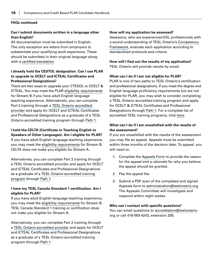#### **FAQs continued**

### **Can I submit documents written in a language other than English?**

All documentation must be submitted in English. The only exception are letters from employers to substantiate your qualifying work experience. These should be submitted in their original language along with a [certified translation.](#page-15-0)

### **I already hold the CESTOL designation. Can I use PLAR to upgrade to OCELT and ICTEAL Certificates and Professional Designations?**

There are two ways to upgrade your CTESOL to OCELT & ICTEAL. You may meet the PLAR [eligibility requirements](#page-5-0) for Stream B if you have adult English language teaching experience. Alternatively, you can complete Part 2 training through a [TESL Ontario-accredited](https://www.teslontario.org/accreditation/tesl-training-programs)  [provider](https://www.teslontario.org/accreditation/tesl-training-programs) and apply for OCELT and ICTEAL Certificates and Professional Designations as a graduate of a TESL Ontario-accredited training program through [Path 1](https://www.teslontario.org/accreditation/languageinstructor).

#### **I hold the CELTA (Certificate in Teaching English to Speakers of Other Languages). Am I eligible for PLAR?**

If you have adult English language teaching experience, you may meet the [eligibility requirements](#page-6-0) for Stream B. CELTA does not make you eligible for Stream A.

Alternatively, you can complete Part 2 training through a TESL Ontario-accredited provider and apply for OCELT and ICTEAL Certificates and Professional Designations as a graduate of a [TESL Ontario-accredited training](https://www.teslontario.org/accreditation/tesl-training-programs)  [program](https://www.teslontario.org/accreditation/tesl-training-programs) through [Path 1](https://www.teslontario.org/accreditation/languageinstructor).

### **I have my TESL Canada Standard 1 certification. Am I eligible for PLAR?**

If you have adult English language teaching experience, you may meet the [eligibility requirements](#page-6-0) for Stream B. TESL Canada Standard 1 training or certification does not make you eligible for Stream A.

Alternatively, you can complete Part 2 training through a [TESL Ontario-accredited provider](https://www.teslontario.org/accreditation/tesl-training-programs) and apply for OCELT and ICTEAL Certificates and Professional Designations as a graduate of a TESL Ontario-accredited training program through [Path 1](https://www.teslontario.org/accreditation/languageinstructor).

### **How will my application be assessed?**

Assessors, who are experienced ESL professionals with a sound understanding of TESL Ontario's [Competency](https://www.teslontario.org/uploads/accreditation/CompetencyFramework/TESLOntarioCompetencyFramework.pdf)  [Framework](https://www.teslontario.org/uploads/accreditation/CompetencyFramework/TESLOntarioCompetencyFramework.pdf), evaluate each application according to standardized protocols and criteria.

# **How will I find out the results of my application?**

TESL Ontario will provide results by email.

### **What can I do if I am not eligible for PLAR?**

PLAR is one of two paths to TESL Ontario's certification and professional designations. If you meet the degree and English language proficiency requirements but are not eligible for PLAR, you may wish to consider completing a TESL Ontario-accredited training program and apply for OCELT & ICTEAL Certificates and Professional Designations through [Path 1](https://www.teslontario.org/accreditation/languageinstructor). For a complete list of accredited TESL training programs, click [here](https://www.teslontario.org/accreditation/tesl-training-programs).

### **What can I do if I am unsatisfied with the results of the assessment?**

If you are unsatisfied with the results of the assessment you may file an appeal. Appeals must be submitted within three months of the decision date. To appeal, you will need to:

- 1. Complete the [Appeals Form](https://www.teslontario.org/node/431984) to provide the reason for the appeal and a rationale for why you believe the appeal should be granted.
- 2. Pay the appeal fee.
- 3. Submit a PDF scan of the completed and signed Appeals form to [administration@teslontario.org](mailto:mailto:administration%40teslontario.org?subject=). The Appeals Committee will investigate and respond within eight weeks.

### **Who can I contact with specific questions?**

You can email questions to [accreditation@teslontario.](mailto:mailto:administration%40teslontario.org?subject=) org or call 416-593-4243, extension 205.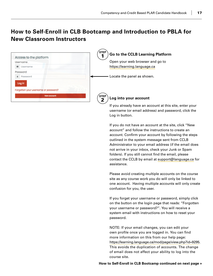# <span id="page-18-0"></span>**How to Self-Enroll in CLB Bootcamp and Introduction to PBLA for New Classroom Instructors**

| Access to the platform                         | <b>STEP</b><br>Go to the CCLB Learning Platform |
|------------------------------------------------|-------------------------------------------------|
| <b>Username</b>                                | Open your web browser and go to                 |
| Username                                       | https://learning.language.ca                    |
| Password                                       |                                                 |
| Password                                       | Locate the panel as shown.                      |
| Log in<br>Forgotten your username or password? |                                                 |
| New account                                    | <b>STEP</b>                                     |
|                                                | Log into your account<br>2                      |

username (or email address) and password, click the Log in button. If you do not have an account at the site, click "New account" and follow the instructions to create an

If you already have an account at this site, enter your

account. Confirm your account by following the steps outlined in the system message sent from CCLB Administrator to your email address (if the email does not arrive in your inbox, check your Junk or Spam folders). If you still cannot find the email, please contact the CCLB by email at [support@language.ca](mailto:mailto:support%40language.ca?subject=) for assistance.

Please avoid creating multiple accounts on the course site as any course work you do will only be linked to one account. Having multiple accounts will only create confusion for you, the user.

If you forget your username or password, simply click on the button on the login page that reads: "Forgotten your username or password?". You will receive a system email with instructions on how to reset your password.

NOTE: If your email changes, you can edit your own profile once you are logged in. You can find more information on this from our help page: <https://learning.language.ca/mod/page/view.php?id=9295>. This avoids the duplication of accounts. The change of email does not affect your ability to log into the course site.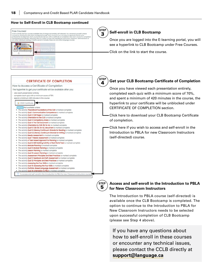#### **How to Self-Enroll in CLB Bootcamp continued**



# **for New Classroom Instructors**

The Introduction to PBLA course (self-directed) is available once the CLB Bootcamp is completed. The option to continue to the Introduction to PBLA for New Classroom Instructors needs to be selected upon successful completion of CLB Bootcamp (please see Step 4 above).

If you have any questions about how to self-enroll in these courses or encounter any technical issues, please contact the CCLB directly at **[support@language.ca](mailto:mailto:support%40language.ca?subject=)**